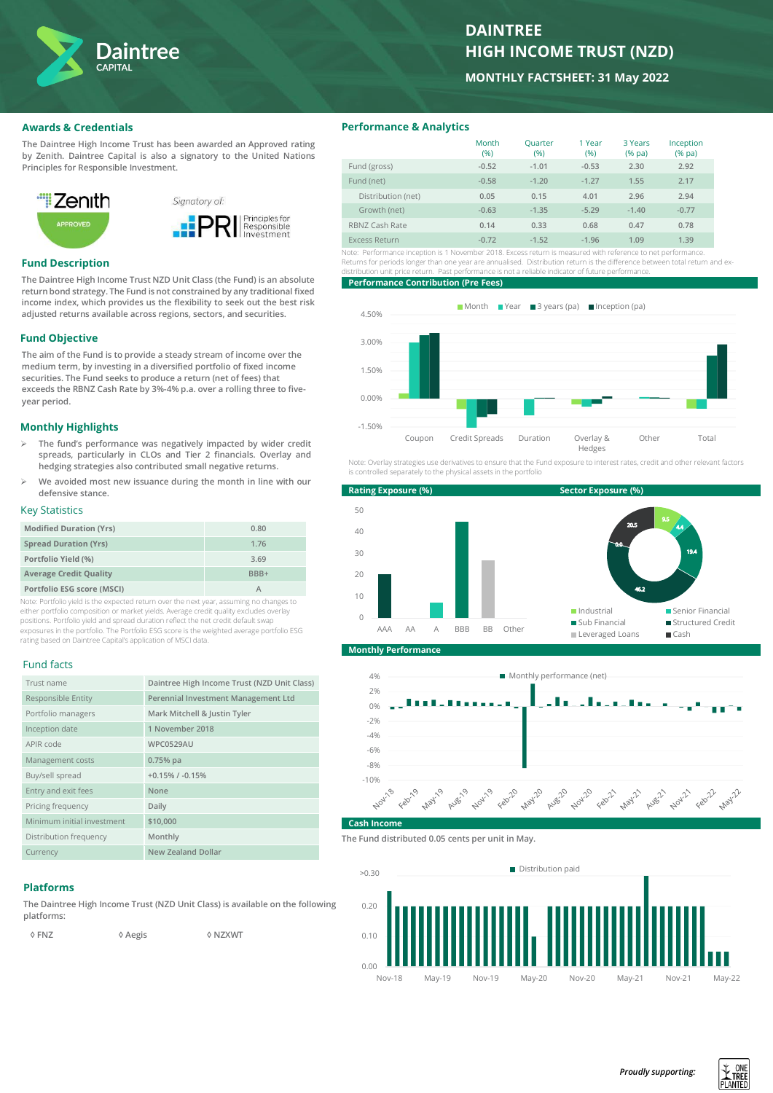

# **DAINTREE HIGH INCOME TRUST (NZD)**

**MONTHLY FACTSHEET: 31 May 2022**

## **Awards & Credentials**

**The Daintree High Income Trust has been awarded an Approved rating by Zenith. Daintree Capital is also a signatory to the United Nations Principles for Responsible Investment.**



## **Fund Description**

**The Daintree High Income Trust NZD Unit Class (the Fund) is an absolute return bond strategy. The Fund is not constrained by any traditional fixed income index, which provides us the flexibility to seek out the best risk adjusted returns available across regions, sectors, and securities.**

## **Fund Objective**

**The aim of the Fund is to provide a steady stream of income over the medium term, by investing in a diversified portfolio of fixed income securities. The Fund seeks to produce a return (net of fees) that exceeds the RBNZ Cash Rate by 3%-4% p.a. over a rolling three to fiveyear period.** 

## **Monthly Highlights**

- ➢ **The fund's performance was negatively impacted by wider credit spreads, particularly in CLOs and Tier 2 financials. Overlay and hedging strategies also contributed small negative returns.**
- ➢ **We avoided most new issuance during the month in line with our defensive stance.**

## Key Statistics

| <b>Modified Duration (Yrs)</b> | 0.80 |
|--------------------------------|------|
| <b>Spread Duration (Yrs)</b>   | 1.76 |
| Portfolio Yield (%)            | 3.69 |
| <b>Average Credit Quality</b>  | BBB+ |
| Portfolio ESG score (MSCI)     |      |

Note: Portfolio yield is the expected return over the next year, assuming no changes to either portfolio composition or market yields. Average credit quality excludes overlay positions. Portfolio yield and spread duration reflect the net credit default swap exposures in the portfolio. The Portfolio ESG score is the weighted average portfolio ESG rating based on Daintree Capital's application of MSCI data.

#### Fund facts

| Trust name                 | Daintree High Income Trust (NZD Unit Class) |
|----------------------------|---------------------------------------------|
| Responsible Entity         | Perennial Investment Management Ltd         |
| Portfolio managers         | Mark Mitchell & Justin Tyler                |
| Inception date             | 1 November 2018                             |
| APIR code                  | <b>WPC0529AU</b>                            |
| Management costs           | $0.75%$ pa                                  |
| Buy/sell spread            | $+0.15\%$ / $-0.15\%$                       |
| Entry and exit fees        | None                                        |
| Pricing frequency          | Daily                                       |
| Minimum initial investment | \$10,000                                    |
| Distribution frequency     | Monthly                                     |
| Currency                   | <b>New Zealand Dollar</b>                   |

#### **Platforms**

**The Daintree High Income Trust (NZD Unit Class) is available on the following platforms:** 

 **◊ FNZ ◊ Aegis ◊ NZXWT**

**Performance & Analytics**

|                    | Month<br>(%) | Quarter<br>(%) | 1 Year<br>(96) | 3 Years<br>$(%$ pa $)$ | Inception<br>$(%$ (% pa) |
|--------------------|--------------|----------------|----------------|------------------------|--------------------------|
| Fund (gross)       | $-0.52$      | $-1.01$        | $-0.53$        | 2.30                   | 2.92                     |
| Fund (net)         | $-0.58$      | $-1.20$        | $-1.27$        | 1.55                   | 2.17                     |
| Distribution (net) | 0.05         | 0.15           | 4.01           | 2.96                   | 2.94                     |
| Growth (net)       | $-0.63$      | $-1.35$        | $-5.29$        | $-1.40$                | $-0.77$                  |
| RBNZ Cash Rate     | 0.14         | 0.33           | 0.68           | 0.47                   | 0.78                     |
| Excess Return      | $-0.72$      | $-1.52$        | $-1.96$        | 1.09                   | 1.39                     |

Note: Performance inception is 1 November 2018. Excess return is measured with reference to net performance. Returns for periods longer than one year are annualised. Distribution return is the difference between total return and exdistribution unit price return. Past performance is not a reliable indicator of future performance.

#### **Performance Contribution (Pre Fees)**



Note: Overlay strategies use derivatives to ensure that the Fund exposure to interest rates, credit and other relevant factors is controlled separately to the physical assets in the portfolio



**Monthly Performance**



#### **Cash Incom**

**The Fund distributed 0.05 cents per unit in May.**